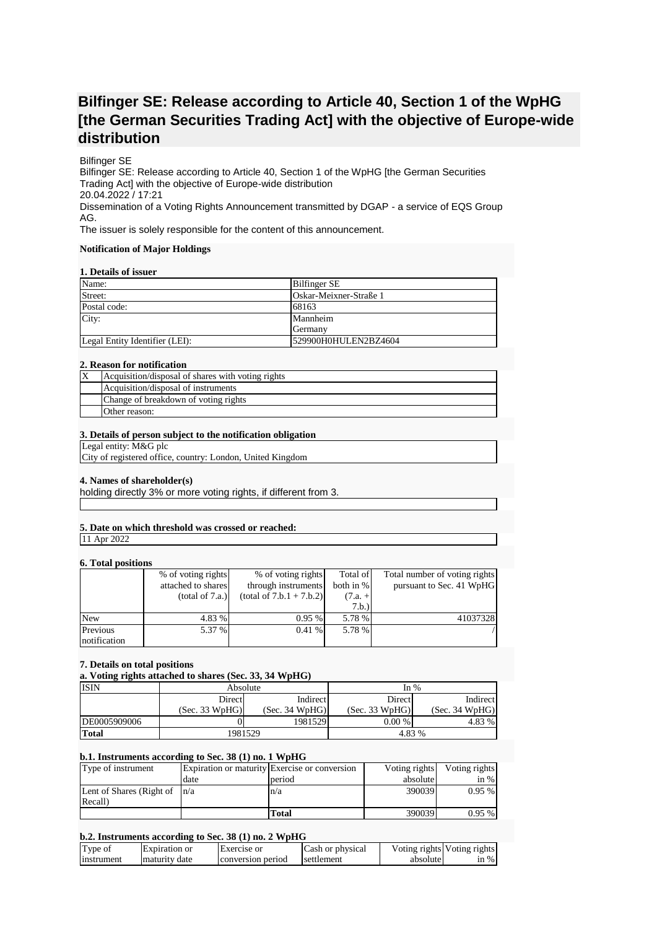# **Bilfinger SE: Release according to Article 40, Section 1 of the WpHG [the German Securities Trading Act] with the objective of Europe-wide distribution**

## Bilfinger SE

Bilfinger SE: Release according to Article 40, Section 1 of the WpHG [the German Securities Trading Act] with the objective of Europe-wide distribution 20.04.2022 / 17:21 Dissemination of a Voting Rights Announcement transmitted by DGAP - a service of EQS Group AG.

The issuer is solely responsible for the content of this announcement.

#### **Notification of Major Holdings**

#### **1. Details of issuer**

| Name:                          | <b>Bilfinger SE</b>    |
|--------------------------------|------------------------|
| Street:                        | Oskar-Meixner-Straße 1 |
| Postal code:                   | 68163                  |
| City:                          | Mannheim               |
|                                | Germany                |
| Legal Entity Identifier (LEI): | 529900H0HULEN2BZ4604   |

#### **2. Reason for notification**

| ΙX | Acquisition/disposal of shares with voting rights |
|----|---------------------------------------------------|
|    | Acquisition/disposal of instruments               |
|    | Change of breakdown of voting rights              |
|    | Other reason:                                     |

#### **3. Details of person subject to the notification obligation**

Legal entity: M&G plc

City of registered office, country: London, United Kingdom

## **4. Names of shareholder(s)**

holding directly 3% or more voting rights, if different from 3.

# **5. Date on which threshold was crossed or reached:**

11 Apr 2022

## **6. Total positions**

| $\mathbf{v}$ . Toval populacija |                    |                            |           |                               |
|---------------------------------|--------------------|----------------------------|-----------|-------------------------------|
|                                 | % of voting rights | % of voting rights         | Total of  | Total number of voting rights |
|                                 | attached to shares | through instruments        | both in % | pursuant to Sec. 41 WpHG      |
|                                 | (total of 7.a.)    | $(total of 7.b.1 + 7.b.2)$ | $(7.a. +$ |                               |
|                                 |                    |                            | 7.b.)     |                               |
| <b>New</b>                      | 4.83 %             | 0.95%                      | 5.78 %    | 41037328                      |
| Previous                        | 5.37 %             | 0.41%                      | 5.78 %    |                               |
| notification                    |                    |                            |           |                               |

## **7. Details on total positions**

**a. Voting rights attached to shares (Sec. 33, 34 WpHG)**

| <b>ISIN</b>  | Absolute       |                | In $%$         |                |
|--------------|----------------|----------------|----------------|----------------|
|              | <b>Direct</b>  | Indirect       | Direct         | Indirect       |
|              | (Sec. 33 WpHG) | (Sec. 34 WpHG) | (Sec. 33 WpHG) | (Sec. 34 WpHG) |
| DE0005909006 |                | 1981529        | $0.00\%$       | 4.83 %         |
| <b>Total</b> | 1981529        |                | 4.83 %         |                |

## **b.1. Instruments according to Sec. 38 (1) no. 1 WpHG**

| Type of instrument                           |      | Expiration or maturity Exercise or conversion | Voting rights | Voting rights |
|----------------------------------------------|------|-----------------------------------------------|---------------|---------------|
|                                              | date | period                                        | absolute      | in $%$        |
| Lent of Shares (Right of $\vert n/a \rangle$ |      | n/a                                           | 390039        | $0.95\%$      |
| Recall)                                      |      |                                               |               |               |
|                                              |      | Total                                         | 390039        | 0.95%         |

## **b.2. Instruments according to Sec. 38 (1) no. 2 WpHG**

| Type of    | Expiration or | <b>Exercise</b> or | Cash or physical |          | Voting rights Voting rights |
|------------|---------------|--------------------|------------------|----------|-----------------------------|
| Instrument | maturity date | conversion period  | settlement       | absolute | $\sin \%$                   |